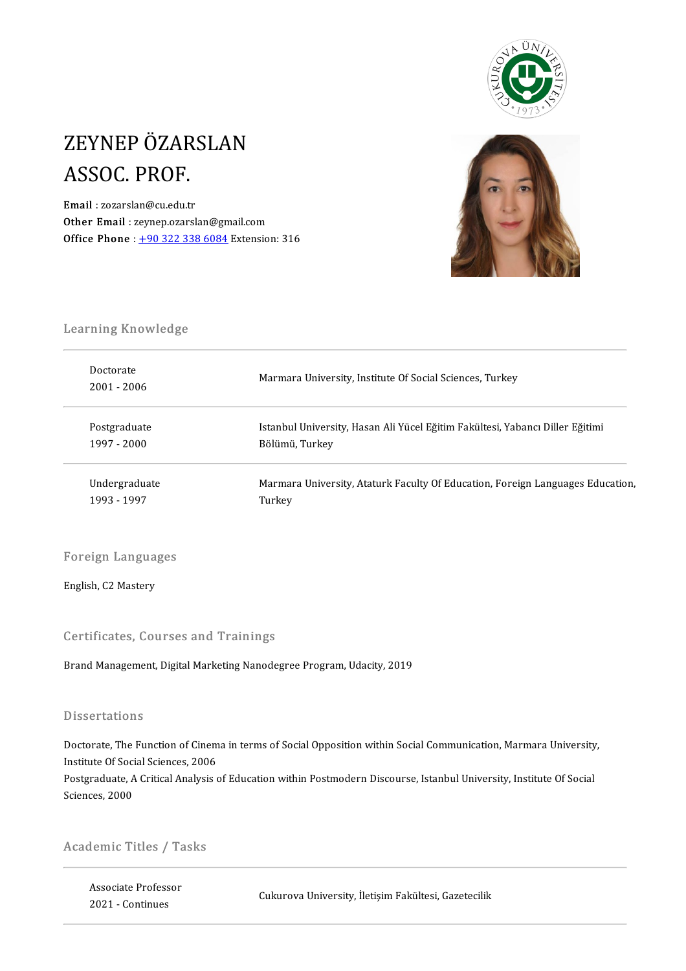

# ZEYNEP ÖZARSLAN<br>ASSOC PROF ZEYNEP ÖZAR<br>ASSOC. PROF.<br><sup>Email</sup> : zozarslan@cu.edu.tr ASSOC. PROF.<br>Email : zozarslan@cu.edu.tr

Other Email : zeynep.ozarslan@gmail.com Office Phone :  $+903223386084$  Extension: 316



# Learning Knowledge<br>Learning Knowledge

| Learning Knowledge         |                                                                                |
|----------------------------|--------------------------------------------------------------------------------|
| Doctorate<br>$2001 - 2006$ | Marmara University, Institute Of Social Sciences, Turkey                       |
| Postgraduate               | Istanbul University, Hasan Ali Yücel Eğitim Fakültesi, Yabancı Diller Eğitimi  |
| 1997 - 2000                | Bölümü, Turkey                                                                 |
| Undergraduate              | Marmara University, Ataturk Faculty Of Education, Foreign Languages Education, |
| 1993 - 1997                | Turkey                                                                         |

Foreign Languages Foreign Langua<sub>i</sub><br>English, C2 Mastery

English, C2 Mastery<br>Certificates, Courses and Trainings

Brand Management, Digital Marketing Nanodegree Program, Udacity, 2019

#### **Dissertations**

Dissertations<br>Doctorate, The Function of Cinema in terms of Social Opposition within Social Communication, Marmara University,<br>Institute Of Social Sciences, 2006 Basser dations<br>Doctorate, The Function of Cinem<br>Institute Of Social Sciences, 2006 Doctorate, The Function of Cinema in terms of Social Opposition within Social Communication, Marmara University<br>Institute Of Social Sciences, 2006<br>Postgraduate, A Critical Analysis of Education within Postmodern Discourse,

Institute Of Social Sciences, 2006<br>Postgraduate, A Critical Analysis of Education within Postmodern Discourse, Istanbul University, Institute Of Social<br>Sciences, 2000

Istanbul<br>Bilgium Bilgium Istanbul<br>Official District

### Academic Titles / Tasks

Associate Professor 2021-Continues Cukurova University, İletişim Fakültesi, Gazetecilik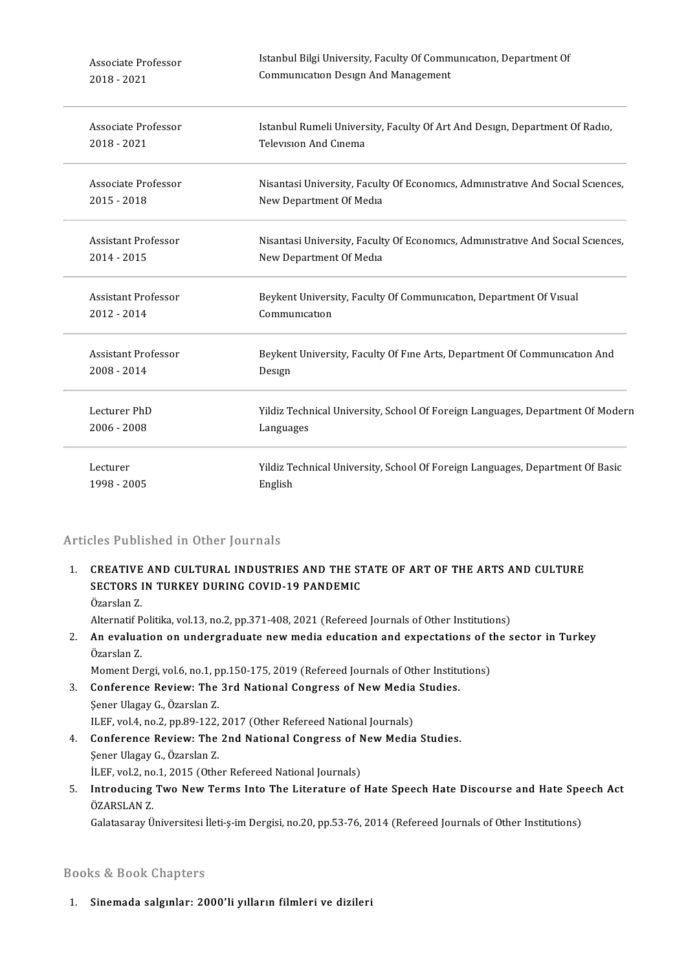| Associate Professor        | Istanbul Bilgi University, Faculty Of Communication, Department Of              |  |
|----------------------------|---------------------------------------------------------------------------------|--|
| 2018 - 2021                | <b>Communication Design And Management</b>                                      |  |
| Associate Professor        | Istanbul Rumeli University, Faculty Of Art And Design, Department Of Radio,     |  |
| 2018 - 2021                | Television And Cinema                                                           |  |
| Associate Professor        | Nisantasi University, Faculty Of Economics, Administrative And Social Sciences, |  |
| 2015 - 2018                | New Department Of Media                                                         |  |
| <b>Assistant Professor</b> | Nisantasi University, Faculty Of Economics, Administrative And Social Sciences, |  |
| 2014 - 2015                | New Department Of Media                                                         |  |
| Assistant Professor        | Beykent University, Faculty Of Communication, Department Of Visual              |  |
| 2012 - 2014                | Communication                                                                   |  |
| <b>Assistant Professor</b> | Beykent University, Faculty Of Fine Arts, Department Of Communication And       |  |
| 2008 - 2014                | Design                                                                          |  |
| Lecturer PhD               | Yildiz Technical University, School Of Foreign Languages, Department Of Modern  |  |
| 2006 - 2008                | Languages                                                                       |  |
| Lecturer                   | Yildiz Technical University, School Of Foreign Languages, Department Of Basic   |  |
| 1998 - 2005                | English                                                                         |  |

### Articles Published in Other Journals

Tricles Published in Other Journals<br>1. CREATIVE AND CULTURAL INDUSTRIES AND THE STATE OF ART OF THE ARTS AND CULTURE<br>SECTORS IN TURKEY DURING COVID 10 RANDEMIC SECT ADMONCA IN OTHER JOAR MAD<br>CREATIVE AND CULTURAL INDUSTRIES AND THE ST<br>SECTORS IN TURKEY DURING COVID-19 PANDEMIC CREATIVE<br>SECTORS<br>Özarslan Z.<br>Altarnatif P. SECTORS IN TURKEY DURING COVID-19 PANDEMIC<br>Özarslan Z.<br>Alternatif Politika, vol.13, no.2, pp.371-408, 2021 (Refereed Journals of Other Institutions)

Özarslan Z.<br>Alternatif Politika, vol.13, no.2, pp.371-408, 2021 (Refereed Journals of Other Institutions)<br>2. An evaluation on undergraduate new media education and expectations of the sector in Turkey<br>Özarelen Z Alternatif P<br>**An evalua**<br>Özarslan Z.<br>Moment De Özarslan Z.<br>Moment Dergi, vol.6, no.1, pp.150-175, 2019 (Refereed Journals of Other Institutions) Özarslan Z.<br>Moment Dergi, vol.6, no.1, pp.150-175, 2019 (Refereed Journals of Other Institutional Congress of New Media Studies.<br>Senar Ulagay G. Özarslan Z.

Moment Dergi, vol.6, no.1, p<br>**Conference Review: The**<br>Şener Ulagay G., Özarslan Z.<br>ILEE vol.4, no.2, np.80,122. Conference Review: The 3rd National Congress of New Media<br>Sener Ulagay G., Özarslan Z.<br>ILEF, vol.4, no.2, pp.89-122, 2017 (Other Refereed National Journals)<br>Conference Boyiouy: The 2nd National Congress of New Media

- Sener Ulagay G., Özarslan Z.<br>ILEF, vol.4, no.2, pp.89-122, 2017 (Other Refereed National Journals)<br>4. Conference Review: The 2nd National Congress of New Media Studies.<br>Sener Ulagay C. Özarslan Z. ILEF, vol.4, no.2, pp.89-122,<br>**Conference Review: The**<br>Şener Ulagay G., Özarslan Z.<br><sup>İLEE vol.2, no.1, 2015 (Othe</sup> Conference Review: The 2nd National Congress of N<br>Şener Ulagay G., Özarslan Z.<br>İLEF, vol.2, no.1, 2015 (Other Refereed National Journals)<br>Introdusing Two Now Torms Into The Literature of
- Sener Ulagay G., Özarslan Z.<br>İLEF, vol.2, no.1, 2015 (Other Refereed National Journals)<br>5. Introducing Two New Terms Into The Literature of Hate Speech Hate Discourse and Hate Speech Act<br>ÖZARSLAN Z İLEF, vol.2, no<br>Introducing<br>ÖZARSLAN Z.<br>Calatasaray Ü I<mark>ntroducing Two New Terms Into The Literature of Hate Speech Hate Discourse and Hate Spe</mark><br>ÖZARSLAN Z.<br>Galatasaray Üniversitesi İleti-ş-im Dergisi, no.20, pp.53-76, 2014 (Refereed Journals of Other Institutions)

Galatasaray Üniversitesi İleti-ş-im Dergisi, no.20, pp.53-76, 2014 (Refereed Journals of Other Institutions)<br>Books & Book Chapters

1. Sinemada salgınlar: 2000'li yılların filmleri ve dizileri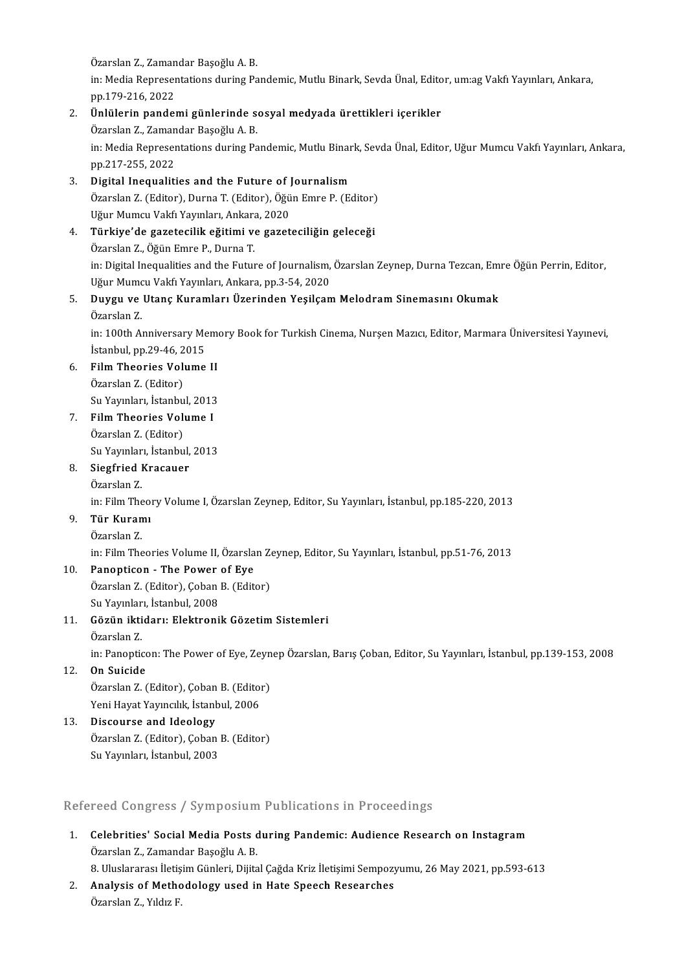Özarslan Z., Zamandar Başoğlu A. B.<br>İnı Media Benresentationa during Pa

in: Media Representations during Pandemic, Mutlu Binark, Sevda Ünal, Editor, um:ag Vakfı Yayınları, Ankara,<br>pp.179-216, 2022 Özarslan Z., Zaman<br>in: Media Represer<br>pp.179-216, 2022<br>Ünlülerin nanda 2. in: Media Representations during Pandemic, Mutlu Binark, Sevda Ünal, Edito<br>pp.179-216, 2022<br>2. Ünlülerin pandemi günlerinde sosyal medyada ürettikleri içerikler<br>2. Ünlülerin pandemi günlerinde sosyal medyada ürettikleri

# pp.179-216, 2022<br><mark>Ünlülerin pandemi günlerinde s</mark>o<br>Özarslan Z., Zamandar Başoğlu A. B.<br>in: Media Benresentations during Ba

Ünlülerin pandemi günlerinde sosyal medyada ürettikleri içerikler<br>Özarslan Z., Zamandar Başoğlu A. B.<br>in: Media Representations during Pandemic, Mutlu Binark, Sevda Ünal, Editor, Uğur Mumcu Vakfı Yayınları, Ankara,<br>nn 217-Özarslan Z., Zamandar Başoğlu A. B.<br>in: Media Representations during Pandemic, Mutlu Bina<br>pp.217-255, 2022<br>Digital Inequalities and the Future of Journalism in: Media Representations during Pandemic, Mutlu Binar<br>pp.217-255, 2022<br>3. Digital Inequalities and the Future of Journalism<br> $\ddot{O}$ zarelan Z (Editor), Durna T (Editor),  $\ddot{O}$ ğün Emre B (Eq

- pp.217-255, 2022<br>Digital Inequalities and the Future of Journalism<br>Özarslan Z. (Editor), Durna T. (Editor), Öğün Emre P. (Editor)<br>Hğur Mumgu Vakfı Yayınları, Ankara, 2020 Digital Inequalities and the Future of J<br>Özarslan Z. (Editor), Durna T. (Editor), Öğü<br>Uğur Mumcu Vakfı Yayınları, Ankara, 2020<br>Türkiye'de gazetecilik eğitimi ve gazet Uğur Mumcu Vakfı Yayınları, Ankara, 2020
- 4. Türkiye'de gazetecilik eğitimi ve gazeteciliğin geleceği in: Digital Inequalities and the Future of Journalism, Özarslan Zeynep, Durna Tezcan, Emre Öğün Perrin, Editor, Özarslan Z., Öğün Emre P., Durna T.<br>in: Digital Inequalities and the Future of Journalism,<br>Uğur Mumcu Vakfı Yayınları, Ankara, pp.3-54, 2020<br>Duygu ve Htana Kuramları Üzerinden Yasilaam

### 5. Duygu ve Utanç Kuramları Üzerinden Yeşilçam Melodram Sinemasını Okumak<br>Özarslan Z. Uğur Mumo<br>**Duygu ve**<br>Özarslan Z. Duygu ve Utanç Kuramları Üzerinden Yeşilçam Melodram Sinemasını Okumak<br>Özarslan Z.<br>in: 100th Anniversary Memory Book for Turkish Cinema, Nurşen Mazıcı, Editor, Marmara Üniversitesi Yayınevi,<br>İstanbul np 20.46.2015

Özarslan Z.<br>in: 100th Anniversary Me<br>İstanbul, pp.29-46, 2015<br>Film Theorics Volume in: 100th Anniversary Memeritation (15)<br>15. Film Theories Volume II<br>6. Film Theories Volume II

İstanbul, pp.29-46, 2015<br>Film Theories Volume<br>Özarslan Z. (Editor) Fil<mark>m Theories Volume II</mark><br>Özarslan Z. (Editor)<br>Su Yayınları, İstanbul, 2013<br>Film Theories Volume I

Su Yayınları, İstanbul, 2013

7. Film Theories Volume I<br>Özarslan Z. (Editor) Fil<mark>m Theories Volume I</mark><br>Özarslan Z. (Editor)<br>Su Yayınları, İstanbul, 2013<br>Siagfried Krassuer

### 8. Siegfried Kracauer Su Yayınlar<br><mark>Siegfried I</mark><br>Özarslan Z.<br>in: <sup>Eilm The</sub></sup>

Siegfried Kracauer<br>Özarslan Z.<br>in: Film Theory Volume I, Özarslan Zeynep, Editor, Su Yayınları, İstanbul, pp.185-220, 2013<br>Tür Kuramı

# Özarslan Z.<br>in: Film Theo.<br>9. **Tür Kuramı**<br>Özarslan Z. in: Film The<br><mark>Tür Kuran</mark><br>Özarslan Z.<br>in: <sup>Film The</sub></sup>

Tür Kuramı<br>Özarslan Z.<br>in: Film Theories Volume II, Özarslan Zeynep, Editor, Su Yayınları, İstanbul, pp.51-76, 2013<br>Panantisan - The Power of Eve

# Özarslan Z.<br>in: Film Theories Volume II, Özarsla<br>10. Panopticon - The Power of Eye

in: Film Theories Volume II, Özarslan Ze<br>**Panopticon - The Power of Eye**<br>Özarslan Z. (Editor), Çoban B. (Editor)<br>Su Yayınlanı İstanbul 2008 Panopticon - The Power<br>Özarslan Z. (Editor), Çoban<br>Su Yayınları, İstanbul, 2008<br>Gözün iltidenu Elektroni Su Yayınları, İstanbul, 2008

## 11. Gözün iktidarı: Elektronik Gözetim Sistemleri<br>Özarslan Z.

in: Panopticon: The Power of Eye, Zeynep Özarslan, Barış Çoban, Editor, Su Yayınları, İstanbul, pp.139-153, 2008

### 12. On Suicide

in: Panopticon: The Power of Eye, Zeyn<br>**On Suicide**<br>Özarslan Z. (Editor), Çoban B. (Editor)<br>Yoni Hayat Yayıncılık, İstanbul, 2006 **On Suicide<br>Özarslan Z. (Editor), Çoban B. (Edito)<br>Yeni Hayat Yayıncılık, İstanbul, 2006<br>Dissourse and Ideologu** 

### Yeni Hayat Yayıncılık, İstanbul, 2006<br>13. Discourse and Ideology Yeni Hayat Yayıncılık, İstanbul, 2006<br>Discourse and Ideology<br>Özarslan Z. (Editor), Çoban B. (Editor)<br>Su Yayınları, İstanbul, 2002 Discourse and Ideology<br>Özarslan Z. (Editor), Çoban<br>Su Yayınları, İstanbul, 2003

Su Yayınları, İstanbul, 2003<br>Refereed Congress / Symposium Publications in Proceedings

Refereed Congress / Symposium Publications in Proceedings<br>1. Celebrities' Social Media Posts during Pandemic: Audience Research on Instagram<br>Ozavelar 7. Zamandar Beseğlu A. B Teca döngress 7 by mpostam<br>Celebrities' Social Media Posts dözarslan Z., Zamandar Başoğlu A. B.<br>8. Uluqlaranca: İlatisim Günleni, Dütte Özarslan Z., Zamandar Başoğlu A. B.<br>8. Uluslararası İletişim Günleri, Dijital Çağda Kriz İletişimi Sempozyumu, 26 May 2021, pp.593-613

Özarslan Z., Zamandar Başoğlu A. B.<br>2. Uluslararası İletişim Günleri, Dijital Çağda Kriz İletişimi Sempozy<br>2. Analysis of Methodology used in Hate Speech Researches<br>Özarelen Z. Vildu E. 8. Uluslararası İletiş<br><mark>Analysis of Meth</mark>c<br>Özarslan Z., Yıldız F.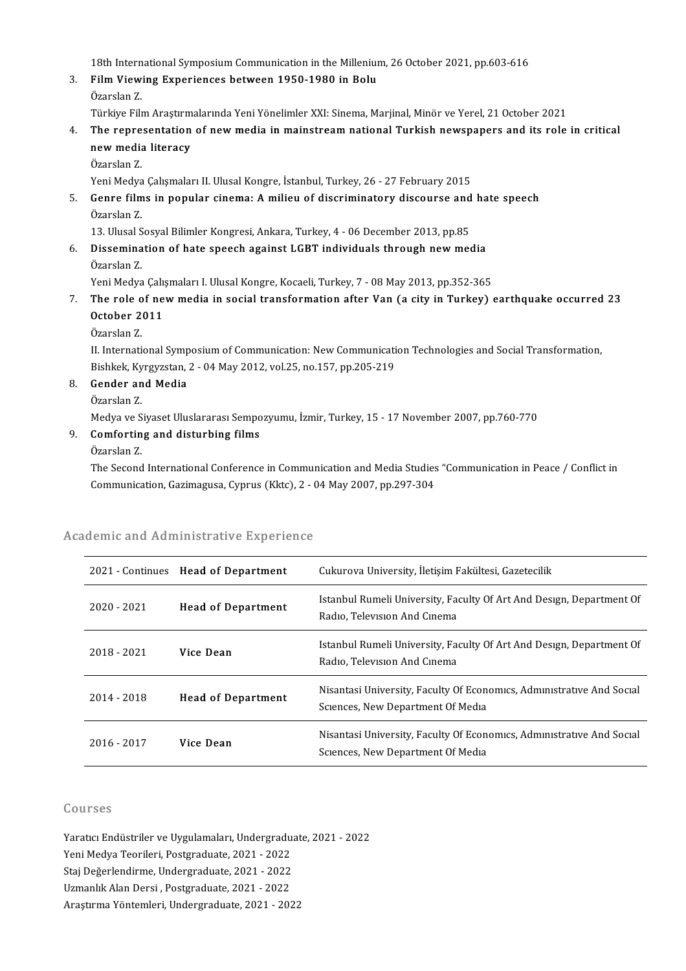18th International Symposium Communication in the Millenium, 26 October 2021, pp.603-616<br>Film Viewing Eunerianees between 1950, 1980 in Belu

3. Film Viewing Experiences between 1950-1980 in Bolu<br>Özarslan Z. 18th Intern<br>Fil<mark>m View</mark><br>Özarslan Z.<br>Törkive Eils

Türkiye FilmAraştırmalarındaYeniYönelimlerXXI:Sinema,Marjinal,Minör veYerel,21October 2021

Özarslan Z.<br>Türkiye Film Araştırmalarında Yeni Yönelimler XXI: Sinema, Marjinal, Minör ve Yerel, 21 October 2021<br>4. The representation of new media in mainstream national Turkish newspapers and its role in critical<br>now Türkiye Film Araştırm<br>The representation<br>new media literacy<br>Özərslən 7 The repre<br>new media<br>Özarslan Z.<br>Veni Medva new media literacy<br>Özarslan Z.<br>Yeni Medya Çalışmaları II. Ulusal Kongre, İstanbul, Turkey, 26 - 27 February 2015

## Özarslan Z.<br>1995 - Yeni Medya Çalışmaları II. Ulusal Kongre, İstanbul, Turkey, 26 - 27 February 2015<br>1995 - Genre films in popular cinema: A milieu of discriminatory discourse and hate speech<br>1995 - Özarelan Z Yeni Medya<br>**Genre film**<br>Özarslan Z.<br>12. Ulucal S Genre films in popular cinema: A milieu of discriminatory discourse and<br>Özarslan Z.<br>13. Ulusal Sosyal Bilimler Kongresi, Ankara, Turkey, 4 - 06 December 2013, pp.85<br>Dissemination of hata speech against LCPT individuals thr

13. Ulusal Sosyal Bilimler Kongresi, Ankara, Turkey, 4 - 06 December 2013, pp.85

Özarslan Z.<br>13. Ulusal Sosyal Bilimler Kongresi, Ankara, Turkey, 4 - 06 December 2013, pp.85<br>6. Dissemination of hate speech against LGBT individuals through new media<br>Özarslan Z. Dissemination of hate speech against LGBT individuals through new media<br>Özarslan Z.<br>Yeni Medya Çalışmaları I. Ulusal Kongre, Kocaeli, Turkey, 7 - 08 May 2013, pp.352-365<br>The rele of new media in social transformation ofter

Özarslan Z.<br>Yeni Medya Çalışmaları I. Ulusal Kongre, Kocaeli, Turkey, 7 - 08 May 2013, pp.352-365<br>7. The role of new media in social transformation after Van (a city in Turkey) earthquake occurred 23 Yeni Medya Çalı:<br>The role of ne<br>October 2011<br>Özerelen 7 The role o<br>October 2<br>Özarslan Z.<br>U. Internati

October 2011<br>Özarslan Z.<br>II. International Symposium of Communication: New Communication Technologies and Social Transformation,<br>Rishkek, Kyngwreten, 2, .04 Mey 2012, yol 25, no.157, np.205, 219. Özarslan Z.<br>II. International Symposium of Communication: New Communicati<br>Bishkek, Kyrgyzstan, 2 - 04 May 2012, vol.25, no.157, pp.205-219<br>Conder and Modia Bishkek, Kyrgyzstan, 2 - 04 May 2012, vol.25, no 157, pp 205-219

- 8. Gender and Media<br>Özarslan Z.
	-

Medya ve Siyaset Uluslararası Sempozyumu, İzmir, Turkey, 15 - 17 November 2007, pp.760-770

Özarslan Z.<br>Medya ve Siyaset Uluslararası Sempo<br>9. Comforting and disturbing films<br>Özarslan Z Medya ve S<br>**Comfortin**<br>Özarslan Z.<br>The Second

Özarslan Z.<br>The Second International Conference in Communication and Media Studies "Communication in Peace / Conflict in Communication,Gazimagusa,Cyprus (Kktc),2-04May2007,pp.297-304

| ademic and Administrative Experience |                                     |                                                                                                            |
|--------------------------------------|-------------------------------------|------------------------------------------------------------------------------------------------------------|
|                                      | 2021 - Continues Head of Department | Cukurova University, İletişim Fakültesi, Gazetecilik                                                       |
| $2020 - 2021$                        | <b>Head of Department</b>           | Istanbul Rumeli University, Faculty Of Art And Design, Department Of<br>Radio, Television And Cinema       |
| $2018 - 2021$                        | Vice Dean                           | Istanbul Rumeli University, Faculty Of Art And Design, Department Of<br>Radio, Television And Cinema       |
| 2014 - 2018                          | <b>Head of Department</b>           | Nisantasi University, Faculty Of Economics, Administrative And Social<br>Sciences, New Department Of Media |
| 2016 - 2017                          | Vice Dean                           | Nisantasi University, Faculty Of Economics, Administrative And Social<br>Sciences, New Department Of Media |

# Communication, Gazimagusa, Cyprus (KKtc), 2 - C<br>Academic and Administrative Experience

#### Courses

Courses<br>Yaratıcı Endüstriler ve Uygulamaları, Undergraduate, 2021 - 2022<br>Yani Madya Teorilari, Restareduate, 2021 - 2022 Yaratıcı Endüstriler ve Uygulamaları, Undergradu<br>Yaratıcı Endüstriler ve Uygulamaları, Undergradu<br>Yeni Değerlendirme Undergraduate, 2021 - 2022 Yaratıcı Endüstriler ve Uygulamaları, Undergraduat<br>Yeni Medya Teorileri, Postgraduate, 2021 - 2022<br>Staj Değerlendirme, Undergraduate, 2021 - 2022<br>Uzmanlık Alan Dersi, Bestaraduate, 2021 - 2022

Yeni Medya Teorileri, Postgraduate, 2021 - 2022<br>Staj Değerlendirme, Undergraduate, 2021 - 2022<br>Uzmanlık Alan Dersi , Postgraduate, 2021 - 2022<br>Arastırma Yöntemleri, Undergraduate, 2021 - 202 Staj Değerlendirme, Undergraduate, 2021 - 2022<br>Uzmanlık Alan Dersi , Postgraduate, 2021 - 2022<br>Araştırma Yöntemleri, Undergraduate, 2021 - 2022